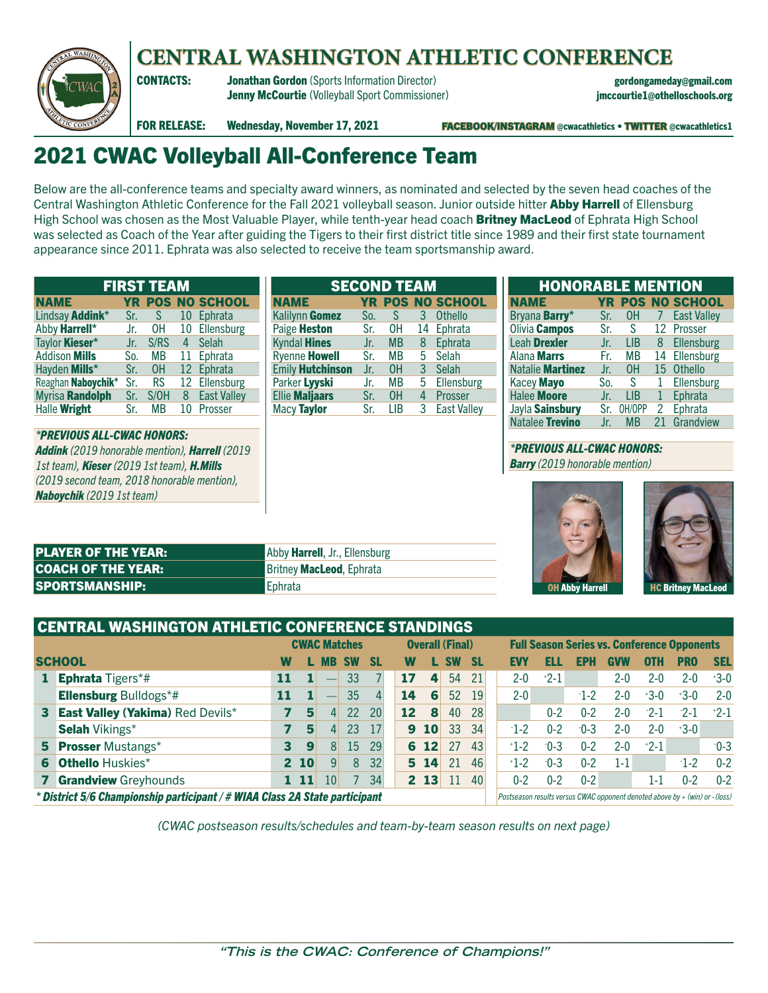

# **CENTRAL WASHINGTON ATHLETIC CONFERENCE**

CONTACTS: Jonathan Gordon (Sports Information Director) gordongameday@gmail.com Jenny McCourtie (Volleyball Sport Commissioner) jmccourtie1@othelloschools.org

FOR RELEASE: Wednesday, November 17, 2021 **FACEBOOK/INSTAGRAM** @cwacathletics • TWITTER @cwacathletics1

# 2021 CWAC Volleyball All-Conference Team

Below are the all-conference teams and specialty award winners, as nominated and selected by the seven head coaches of the Central Washington Athletic Conference for the Fall 2021 volleyball season. Junior outside hitter Abby Harrell of Ellensburg High School was chosen as the Most Valuable Player, while tenth-year head coach Britney MacLeod of Ephrata High School was selected as Coach of the Year after guiding the Tigers to their first district title since 1989 and their first state tournament appearance since 2011. Ephrata was also selected to receive the team sportsmanship award.

| <b>FIRST TEAM</b>      |     |           |    |                         |  |  |  |
|------------------------|-----|-----------|----|-------------------------|--|--|--|
| <b>NAME</b>            |     |           |    | <b>YR POS NO SCHOOL</b> |  |  |  |
| Lindsay Addink*        | Sr. | S.        | 10 | Ephrata                 |  |  |  |
| Abby Harrell*          | Jr. | OH .      |    | 10 Ellensburg           |  |  |  |
| Taylor <b>Kieser</b> * | Jr. | S/RS      |    | 4 Selah                 |  |  |  |
| <b>Addison Mills</b>   | So. | <b>MB</b> |    | 11 Ephrata              |  |  |  |
| Hayden Mills*          | Sr. | 0H        |    | 12 Ephrata              |  |  |  |
| Reaghan Naboychik*     | Sr. | <b>RS</b> |    | 12 Ellensburg           |  |  |  |
| Myrisa Randolph        | Sr. | S/OH      | 8  | <b>East Valley</b>      |  |  |  |
| Halle Wright           | Sr. | <b>MB</b> | 10 | Prosser                 |  |  |  |

*\*PREVIOUS ALL-CWAC HONORS: Addink (2019 honorable mention), Harrell (2019 1st team), Kieser (2019 1st team), H.Mills (2019 second team, 2018 honorable mention), Naboychik (2019 1st team)*

| <b>SECOND TEAM</b>      |     |           |   |                         |  |  |  |  |
|-------------------------|-----|-----------|---|-------------------------|--|--|--|--|
| <b>NAME</b>             |     |           |   | <b>YR POS NO SCHOOL</b> |  |  |  |  |
| Kalilynn Gomez          | So. | S         | 3 | <b>Othello</b>          |  |  |  |  |
| Paige Heston            | Sr. | 0H        |   | 14 Ephrata              |  |  |  |  |
| <b>Kyndal Hines</b>     | Jr. | <b>MB</b> | 8 | Ephrata                 |  |  |  |  |
| Ryenne <b>Howell</b>    | Sr. | <b>MB</b> |   | 5 Selah                 |  |  |  |  |
| <b>Emily Hutchinson</b> | Jr. | 0H        | 3 | Selah                   |  |  |  |  |
| Parker Lyyski           | Jr. | <b>MB</b> | 5 | Ellensburg              |  |  |  |  |
| <b>Ellie Maljaars</b>   | Sr. | 0H        |   | 4 Prosser               |  |  |  |  |
| Macy Taylor             | Sr. | LIB       | 3 | <b>East Valley</b>      |  |  |  |  |

| <b>HONORABLE MENTION</b> |           |            |    |                      |  |  |  |  |
|--------------------------|-----------|------------|----|----------------------|--|--|--|--|
| <b>NAME</b>              | <b>YR</b> |            |    | <b>POS NO SCHOOL</b> |  |  |  |  |
| Bryana Barry*            | Sr.       | OH.        | 7  | <b>East Valley</b>   |  |  |  |  |
| Olivia Campos            | Sr.       | -S         | 12 | Prosser              |  |  |  |  |
| Leah Drexler             | Jr.       | <b>LIB</b> | 8  | Ellensburg           |  |  |  |  |
| Alana <b>Marrs</b>       | Fr.       | МB         | 14 | Ellensburg           |  |  |  |  |
| Natalie Martinez         | Jr.       | 0H         |    | 15 Othello           |  |  |  |  |
| Kacey Mayo               | So.       | -S         |    | Ellensburg           |  |  |  |  |
| <b>Halee Moore</b>       | Jr.       | LIB        | 1  | Ephrata              |  |  |  |  |
| Jayla Sainsbury          | Sr.       | OH/OPP     | 2  | Ephrata              |  |  |  |  |
| Natalee Trevino          | .Jr.      | ΜR         | 21 | Grandview            |  |  |  |  |

## *\*PREVIOUS ALL-CWAC HONORS:*

*Barry (2019 honorable mention)*





| <b>PLAYER OF THE YEAR:</b> | Abby <b>Harrell</b> , Jr., Ellensburg |
|----------------------------|---------------------------------------|
| <b>COACH OF THE YEAR:</b>  | <b>Britney MacLeod, Ephrata</b>       |
| <b>SPORTSMANSHIP:</b>      | l Ephrata                             |

|                                                                                                                                                             | <b>CENTRAL WASHINGTON ATHLETIC CONFERENCE STANDINGS</b> |                                           |     |                 |                     |         |  |                      |                 |                        |           |         |          |         |         |                                                    |         |         |            |
|-------------------------------------------------------------------------------------------------------------------------------------------------------------|---------------------------------------------------------|-------------------------------------------|-----|-----------------|---------------------|---------|--|----------------------|-----------------|------------------------|-----------|---------|----------|---------|---------|----------------------------------------------------|---------|---------|------------|
|                                                                                                                                                             |                                                         |                                           |     |                 | <b>CWAC Matches</b> |         |  |                      |                 | <b>Overall (Final)</b> |           |         |          |         |         | <b>Full Season Series vs. Conference Opponents</b> |         |         |            |
|                                                                                                                                                             | <b>SCHOOL</b>                                           | W                                         |     | MB              | <b>SW</b>           | 'SL     |  | W                    |                 | L SW                   | <b>SL</b> |         | EVY      | 13 L L  | EPH     | <b>GVW</b>                                         | OTH     | PRO     | <b>SEL</b> |
|                                                                                                                                                             | <b>Ephrata</b> Tigers*#                                 | 11                                        |     |                 | 33                  |         |  | 17                   | 4               | 54                     | 21        |         | $2 - 0$  | $+2-1$  |         | $2 - 0$                                            | $2 - 0$ | $2 - 0$ | $+3-0$     |
|                                                                                                                                                             | <b>Ellensburg Bulldogs*#</b>                            | 35<br>52<br>14<br>6<br>11<br>$\mathbf{4}$ |     | 19              |                     | $2 - 0$ |  | $-1 - 2$             | $2 - 0$         | $+3-0$                 | $+3-0$    | $2 - 0$ |          |         |         |                                                    |         |         |            |
| $\mathbf{3}$                                                                                                                                                | <b>East Valley (Yakima) Red Devils*</b>                 |                                           | 5   | 4 <sup>1</sup>  | 22                  | 20      |  | 12                   | 8               | 40                     | 28        |         |          | $0 - 2$ | በ-2     | $2-0$                                              | $-2-1$  | $-2-1$  | $+2-1$     |
|                                                                                                                                                             | <b>Selah Vikings*</b>                                   |                                           | 5   | $\mathbf{I}$    | 23                  | 17      |  | 9                    | <b>10</b>       | 33                     | 34        |         | $-1 - 2$ | $0 - 2$ | $-0-3$  | $2-0$                                              | $2-0$   | $+3-0$  |            |
|                                                                                                                                                             | <b>5 Prosser Mustangs*</b>                              |                                           | 9   | 8 <sup>1</sup>  | 15                  | 29      |  |                      | $6 \t12$        | -27                    | 43        |         | $+1-2$   | $-0-3$  | $0 - 2$ | $2-0$                                              | $+2-1$  |         | $-0-3$     |
| 6.                                                                                                                                                          | <b>Othello Huskies*</b>                                 |                                           | 210 | 9               | 8                   | 32      |  | 46<br>21<br>5.<br>14 |                 |                        | $+1-2$    | $-0-3$  | በ-2      | $1 - 1$ |         | $-1-2$                                             | $0 - 2$ |         |            |
|                                                                                                                                                             | <b>Grandview Greyhounds</b>                             |                                           | 11  | 10 <sup>°</sup> |                     | 34      |  |                      | 2 <sub>13</sub> | 11                     | 40        |         | $0 - 2$  | $0 - 2$ | $0 - 2$ |                                                    | 1-1     | $0 - 2$ | $0 - 2$    |
| * District 5/6 Championship participant / # WIAA Class 2A State participant<br>Postseason results versus CWAC opponent denoted above by + (win) or - (loss) |                                                         |                                           |     |                 |                     |         |  |                      |                 |                        |           |         |          |         |         |                                                    |         |         |            |

*(CWAC postseason results/schedules and team-by-team season results on next page)*